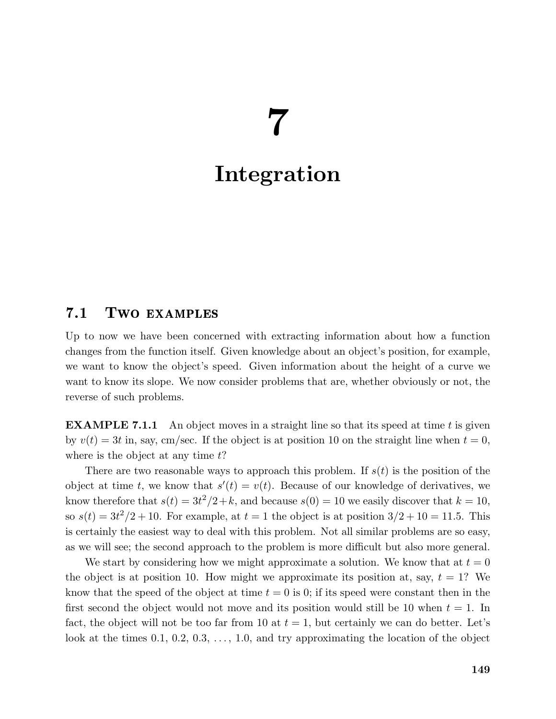# 7

# Integration

# 7.1 Two examples

Up to now we have been concerned with extracting information about how a function changes from the function itself. Given knowledge about an object's position, for example, we want to know the object's speed. Given information about the height of a curve we want to know its slope. We now consider problems that are, whether obviously or not, the reverse of such problems.

**EXAMPLE 7.1.1** An object moves in a straight line so that its speed at time t is given by  $v(t) = 3t$  in, say, cm/sec. If the object is at position 10 on the straight line when  $t = 0$ , where is the object at any time  $t$ ?

There are two reasonable ways to approach this problem. If  $s(t)$  is the position of the object at time t, we know that  $s'(t) = v(t)$ . Because of our knowledge of derivatives, we know therefore that  $s(t) = 3t^2/2 + k$ , and because  $s(0) = 10$  we easily discover that  $k = 10$ , so  $s(t) = 3t^2/2 + 10$ . For example, at  $t = 1$  the object is at position  $3/2 + 10 = 11.5$ . This is certainly the easiest way to deal with this problem. Not all similar problems are so easy, as we will see; the second approach to the problem is more difficult but also more general.

We start by considering how we might approximate a solution. We know that at  $t = 0$ the object is at position 10. How might we approximate its position at, say,  $t = 1$ ? We know that the speed of the object at time  $t = 0$  is 0; if its speed were constant then in the first second the object would not move and its position would still be 10 when  $t = 1$ . In fact, the object will not be too far from 10 at  $t = 1$ , but certainly we can do better. Let's look at the times  $0.1, 0.2, 0.3, \ldots, 1.0$ , and try approximating the location of the object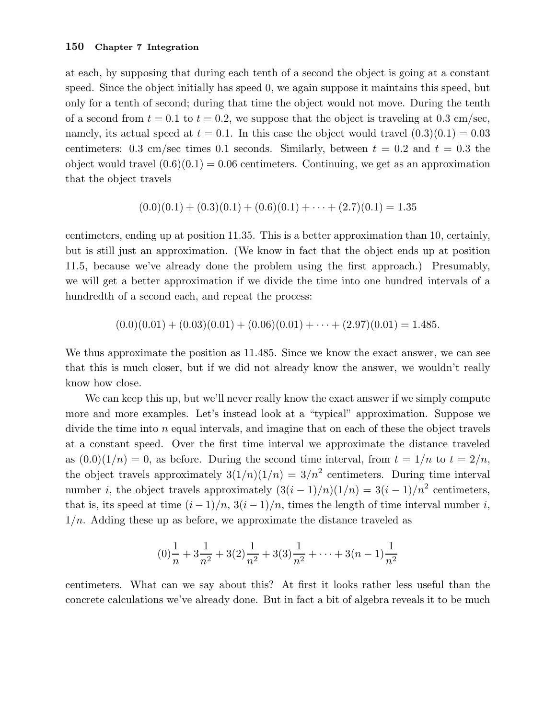#### 150 Chapter 7 Integration

at each, by supposing that during each tenth of a second the object is going at a constant speed. Since the object initially has speed 0, we again suppose it maintains this speed, but only for a tenth of second; during that time the object would not move. During the tenth of a second from  $t = 0.1$  to  $t = 0.2$ , we suppose that the object is traveling at 0.3 cm/sec, namely, its actual speed at  $t = 0.1$ . In this case the object would travel  $(0.3)(0.1) = 0.03$ centimeters: 0.3 cm/sec times 0.1 seconds. Similarly, between  $t = 0.2$  and  $t = 0.3$  the object would travel  $(0.6)(0.1) = 0.06$  centimeters. Continuing, we get as an approximation that the object travels

$$
(0.0)(0.1) + (0.3)(0.1) + (0.6)(0.1) + \cdots + (2.7)(0.1) = 1.35
$$

centimeters, ending up at position 11.35. This is a better approximation than 10, certainly, but is still just an approximation. (We know in fact that the object ends up at position 11.5, because we've already done the problem using the first approach.) Presumably, we will get a better approximation if we divide the time into one hundred intervals of a hundredth of a second each, and repeat the process:

$$
(0.0)(0.01) + (0.03)(0.01) + (0.06)(0.01) + \cdots + (2.97)(0.01) = 1.485.
$$

We thus approximate the position as 11.485. Since we know the exact answer, we can see that this is much closer, but if we did not already know the answer, we wouldn't really know how close.

We can keep this up, but we'll never really know the exact answer if we simply compute more and more examples. Let's instead look at a "typical" approximation. Suppose we divide the time into  $n$  equal intervals, and imagine that on each of these the object travels at a constant speed. Over the first time interval we approximate the distance traveled as  $(0.0)(1/n) = 0$ , as before. During the second time interval, from  $t = 1/n$  to  $t = 2/n$ , the object travels approximately  $3(1/n)(1/n) = 3/n^2$  centimeters. During time interval number *i*, the object travels approximately  $(3(i-1)/n)(1/n) = 3(i-1)/n^2$  centimeters, that is, its speed at time  $(i - 1)/n$ ,  $3(i - 1)/n$ , times the length of time interval number i,  $1/n$ . Adding these up as before, we approximate the distance traveled as

$$
(0)\frac{1}{n} + 3\frac{1}{n^2} + 3(2)\frac{1}{n^2} + 3(3)\frac{1}{n^2} + \dots + 3(n-1)\frac{1}{n^2}
$$

centimeters. What can we say about this? At first it looks rather less useful than the concrete calculations we've already done. But in fact a bit of algebra reveals it to be much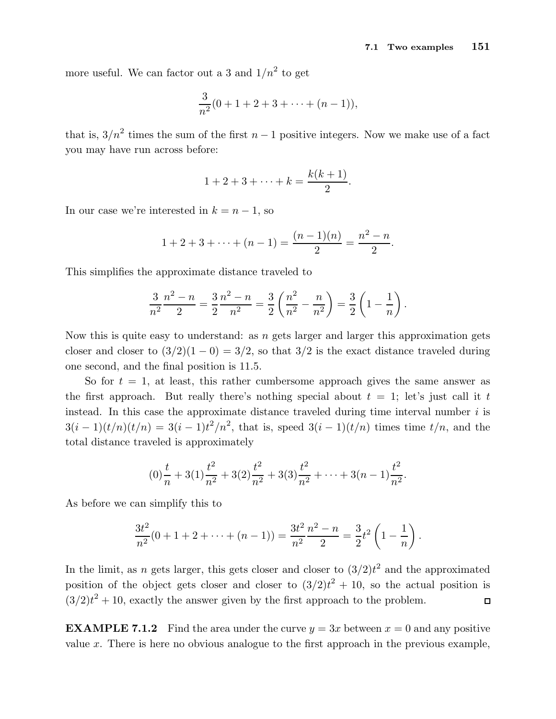more useful. We can factor out a 3 and  $1/n^2$  to get

$$
\frac{3}{n^2}(0+1+2+3+\cdots+(n-1)),
$$

that is,  $3/n^2$  times the sum of the first  $n-1$  positive integers. Now we make use of a fact you may have run across before:

$$
1 + 2 + 3 + \dots + k = \frac{k(k+1)}{2}.
$$

In our case we're interested in  $k = n - 1$ , so

$$
1 + 2 + 3 + \dots + (n - 1) = \frac{(n - 1)(n)}{2} = \frac{n^2 - n}{2}.
$$

This simplifies the approximate distance traveled to

$$
\frac{3}{n^2}\frac{n^2-n}{2} = \frac{3}{2}\frac{n^2-n}{n^2} = \frac{3}{2}\left(\frac{n^2}{n^2} - \frac{n}{n^2}\right) = \frac{3}{2}\left(1 - \frac{1}{n}\right).
$$

Now this is quite easy to understand: as  $n$  gets larger and larger this approximation gets closer and closer to  $(3/2)(1-0) = 3/2$ , so that  $3/2$  is the exact distance traveled during one second, and the final position is 11.5.

So for  $t = 1$ , at least, this rather cumbersome approach gives the same answer as the first approach. But really there's nothing special about  $t = 1$ ; let's just call it t instead. In this case the approximate distance traveled during time interval number  $i$  is  $3(i-1)(t/n)(t/n) = 3(i-1)t^2/n^2$ , that is, speed  $3(i-1)(t/n)$  times time  $t/n$ , and the total distance traveled is approximately

$$
(0)\frac{t}{n} + 3(1)\frac{t^2}{n^2} + 3(2)\frac{t^2}{n^2} + 3(3)\frac{t^2}{n^2} + \dots + 3(n-1)\frac{t^2}{n^2}.
$$

As before we can simplify this to

$$
\frac{3t^2}{n^2}(0+1+2+\cdots+(n-1))=\frac{3t^2}{n^2}\frac{n^2-n}{2}=\frac{3}{2}t^2\left(1-\frac{1}{n}\right).
$$

In the limit, as n gets larger, this gets closer and closer to  $(3/2)t^2$  and the approximated position of the object gets closer and closer to  $(3/2)t^2 + 10$ , so the actual position is  $(3/2)t^2 + 10$ , exactly the answer given by the first approach to the problem.  $\Box$ 

**EXAMPLE 7.1.2** Find the area under the curve  $y = 3x$  between  $x = 0$  and any positive value x. There is here no obvious analogue to the first approach in the previous example,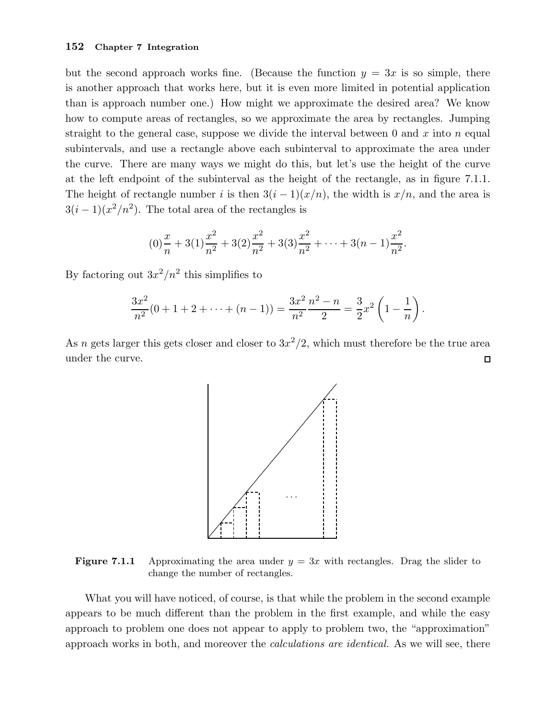## 152 Chapter 7 Integration

but the second approach works fine. (Because the function  $y = 3x$  is so simple, there is another approach that works here, but it is even more limited in potential application than is approach number one.) How might we approximate the desired area? We know how to compute areas of rectangles, so we approximate the area by rectangles. Jumping straight to the general case, suppose we divide the interval between 0 and  $x$  into  $n$  equal subintervals, and use a rectangle above each subinterval to approximate the area under the curve. There are many ways we might do this, but let's use the height of the curve at the left endpoint of the subinterval as the height of the rectangle, as in figure 7.1.1. The height of rectangle number i is then  $3(i-1)(x/n)$ , the width is  $x/n$ , and the area is  $3(i-1)(x^2/n^2)$ . The total area of the rectangles is

$$
(0)\frac{x}{n} + 3(1)\frac{x^2}{n^2} + 3(2)\frac{x^2}{n^2} + 3(3)\frac{x^2}{n^2} + \dots + 3(n-1)\frac{x^2}{n^2}.
$$

By factoring out  $3x^2/n^2$  this simplifies to

$$
\frac{3x^2}{n^2}(0+1+2+\cdots+(n-1))=\frac{3x^2}{n^2}\frac{n^2-n}{2}=\frac{3}{2}x^2\left(1-\frac{1}{n}\right).
$$

As n gets larger this gets closer and closer to  $3x^2/2$ , which must therefore be the true area under the curve.  $\Box$ 



**Figure 7.1.1** Approximating the area under  $y = 3x$  with rectangles. Drag the slider to change the number of rectangles.

What you will have noticed, of course, is that while the problem in the second example appears to be much different than the problem in the first example, and while the easy approach to problem one does not appear to apply to problem two, the "approximation" approach works in both, and moreover the calculations are identical. As we will see, there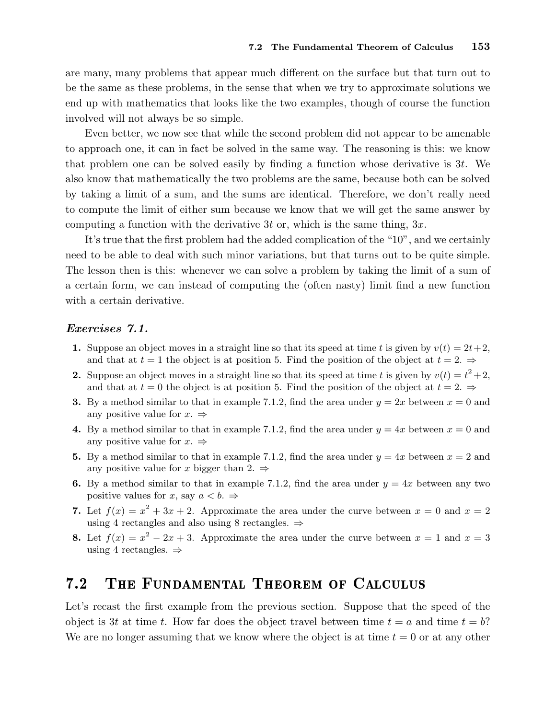are many, many problems that appear much different on the surface but that turn out to be the same as these problems, in the sense that when we try to approximate solutions we end up with mathematics that looks like the two examples, though of course the function involved will not always be so simple.

Even better, we now see that while the second problem did not appear to be amenable to approach one, it can in fact be solved in the same way. The reasoning is this: we know that problem one can be solved easily by finding a function whose derivative is  $3t$ . We also know that mathematically the two problems are the same, because both can be solved by taking a limit of a sum, and the sums are identical. Therefore, we don't really need to compute the limit of either sum because we know that we will get the same answer by computing a function with the derivative 3t or, which is the same thing,  $3x$ .

It's true that the first problem had the added complication of the "10", and we certainly need to be able to deal with such minor variations, but that turns out to be quite simple. The lesson then is this: whenever we can solve a problem by taking the limit of a sum of a certain form, we can instead of computing the (often nasty) limit find a new function with a certain derivative.

### Exercises 7.1.

- 1. Suppose an object moves in a straight line so that its speed at time t is given by  $v(t) = 2t+2$ , and that at  $t = 1$  the object is at position 5. Find the position of the object at  $t = 2$ .  $\Rightarrow$
- **2.** Suppose an object moves in a straight line so that its speed at time t is given by  $v(t) = t^2 + 2$ , and that at  $t = 0$  the object is at position 5. Find the position of the object at  $t = 2$ .
- **3.** By a method similar to that in example 7.1.2, find the area under  $y = 2x$  between  $x = 0$  and any positive value for  $x. \Rightarrow$
- 4. By a method similar to that in example 7.1.2, find the area under  $y = 4x$  between  $x = 0$  and any positive value for  $x. \Rightarrow$
- 5. By a method similar to that in example 7.1.2, find the area under  $y = 4x$  between  $x = 2$  and any positive value for x bigger than 2.  $\Rightarrow$
- 6. By a method similar to that in example 7.1.2, find the area under  $y = 4x$  between any two positive values for x, say  $a < b$ .  $\Rightarrow$
- 7. Let  $f(x) = x^2 + 3x + 2$ . Approximate the area under the curve between  $x = 0$  and  $x = 2$ using 4 rectangles and also using 8 rectangles.  $\Rightarrow$
- 8. Let  $f(x) = x^2 2x + 3$ . Approximate the area under the curve between  $x = 1$  and  $x = 3$ using 4 rectangles.  $\Rightarrow$

#### $7.2$ THE FUNDAMENTAL THEOREM OF CALCULUS

Let's recast the first example from the previous section. Suppose that the speed of the object is 3t at time t. How far does the object travel between time  $t = a$  and time  $t = b$ ? We are no longer assuming that we know where the object is at time  $t = 0$  or at any other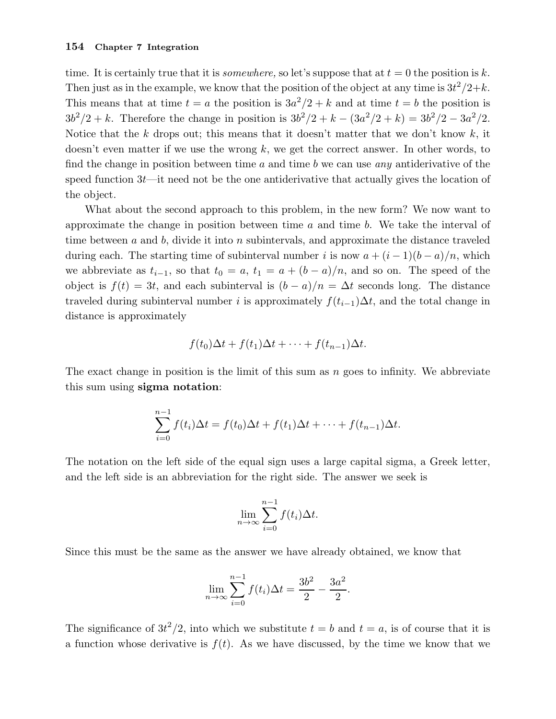time. It is certainly true that it is *somewhere*, so let's suppose that at  $t = 0$  the position is k. Then just as in the example, we know that the position of the object at any time is  $3t^2/2+k$ . This means that at time  $t = a$  the position is  $3a^2/2 + k$  and at time  $t = b$  the position is  $3b^2/2 + k$ . Therefore the change in position is  $3b^2/2 + k - (3a^2/2 + k) = 3b^2/2 - 3a^2/2$ . Notice that the k drops out; this means that it doesn't matter that we don't know  $k$ , it doesn't even matter if we use the wrong  $k$ , we get the correct answer. In other words, to find the change in position between time  $a$  and time  $b$  we can use any antiderivative of the speed function  $3t$ —it need not be the one antiderivative that actually gives the location of the object.

What about the second approach to this problem, in the new form? We now want to approximate the change in position between time  $a$  and time  $b$ . We take the interval of time between  $a$  and  $b$ , divide it into  $n$  subintervals, and approximate the distance traveled during each. The starting time of subinterval number i is now  $a + (i - 1)(b - a)/n$ , which we abbreviate as  $t_{i-1}$ , so that  $t_0 = a$ ,  $t_1 = a + (b - a)/n$ , and so on. The speed of the object is  $f(t) = 3t$ , and each subinterval is  $(b - a)/n = \Delta t$  seconds long. The distance traveled during subinterval number i is approximately  $f(t_{i-1})\Delta t$ , and the total change in distance is approximately

$$
f(t_0)\Delta t + f(t_1)\Delta t + \cdots + f(t_{n-1})\Delta t.
$$

The exact change in position is the limit of this sum as  $n$  goes to infinity. We abbreviate this sum using sigma notation:

$$
\sum_{i=0}^{n-1} f(t_i) \Delta t = f(t_0) \Delta t + f(t_1) \Delta t + \cdots + f(t_{n-1}) \Delta t.
$$

The notation on the left side of the equal sign uses a large capital sigma, a Greek letter, and the left side is an abbreviation for the right side. The answer we seek is

$$
\lim_{n \to \infty} \sum_{i=0}^{n-1} f(t_i) \Delta t.
$$

Since this must be the same as the answer we have already obtained, we know that

$$
\lim_{n \to \infty} \sum_{i=0}^{n-1} f(t_i) \Delta t = \frac{3b^2}{2} - \frac{3a^2}{2}.
$$

The significance of  $3t^2/2$ , into which we substitute  $t = b$  and  $t = a$ , is of course that it is a function whose derivative is  $f(t)$ . As we have discussed, by the time we know that we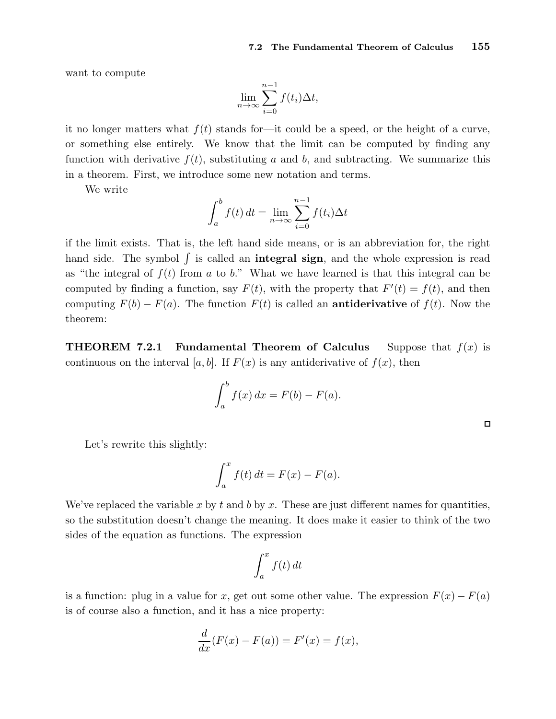want to compute

$$
\lim_{n \to \infty} \sum_{i=0}^{n-1} f(t_i) \Delta t,
$$

it no longer matters what  $f(t)$  stands for—it could be a speed, or the height of a curve, or something else entirely. We know that the limit can be computed by finding any function with derivative  $f(t)$ , substituting a and b, and subtracting. We summarize this in a theorem. First, we introduce some new notation and terms.

We write

$$
\int_{a}^{b} f(t) dt = \lim_{n \to \infty} \sum_{i=0}^{n-1} f(t_i) \Delta t
$$

if the limit exists. That is, the left hand side means, or is an abbreviation for, the right hand side. The symbol  $\int$  is called an **integral sign**, and the whole expression is read as "the integral of  $f(t)$  from a to b." What we have learned is that this integral can be computed by finding a function, say  $F(t)$ , with the property that  $F'(t) = f(t)$ , and then computing  $F(b) - F(a)$ . The function  $F(t)$  is called an **antiderivative** of  $f(t)$ . Now the theorem:

**THEOREM 7.2.1** Fundamental Theorem of Calculus Suppose that  $f(x)$  is continuous on the interval [a, b]. If  $F(x)$  is any antiderivative of  $f(x)$ , then

$$
\int_a^b f(x) dx = F(b) - F(a).
$$

Let's rewrite this slightly:

$$
\int_a^x f(t) dt = F(x) - F(a).
$$

We've replaced the variable x by t and b by x. These are just different names for quantities, so the substitution doesn't change the meaning. It does make it easier to think of the two sides of the equation as functions. The expression

$$
\int_{a}^{x} f(t) \, dt
$$

is a function: plug in a value for x, get out some other value. The expression  $F(x) - F(a)$ is of course also a function, and it has a nice property:

$$
\frac{d}{dx}(F(x) - F(a)) = F'(x) = f(x),
$$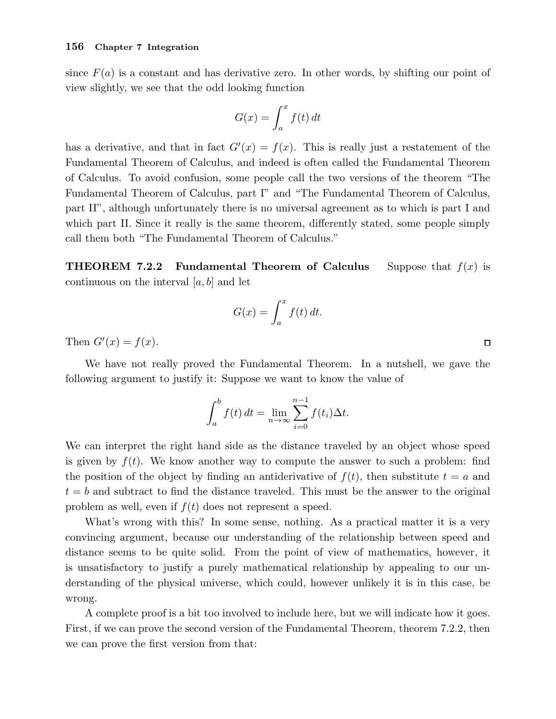since  $F(a)$  is a constant and has derivative zero. In other words, by shifting our point of view slightly, we see that the odd looking function

$$
G(x) = \int_{a}^{x} f(t) dt
$$

has a derivative, and that in fact  $G'(x) = f(x)$ . This is really just a restatement of the Fundamental Theorem of Calculus, and indeed is often called the Fundamental Theorem of Calculus. To avoid confusion, some people call the two versions of the theorem "The Fundamental Theorem of Calculus, part I" and "The Fundamental Theorem of Calculus, part II", although unfortunately there is no universal agreement as to which is part I and which part II. Since it really is the same theorem, differently stated, some people simply call them both "The Fundamental Theorem of Calculus."

**THEOREM 7.2.2** Fundamental Theorem of Calculus Suppose that  $f(x)$  is continuous on the interval  $[a, b]$  and let

$$
G(x) = \int_a^x f(t) \, dt.
$$

Then  $G'(x) = f(x)$ .

We have not really proved the Fundamental Theorem. In a nutshell, we gave the following argument to justify it: Suppose we want to know the value of

$$
\int_{a}^{b} f(t) dt = \lim_{n \to \infty} \sum_{i=0}^{n-1} f(t_i) \Delta t.
$$

We can interpret the right hand side as the distance traveled by an object whose speed is given by  $f(t)$ . We know another way to compute the answer to such a problem: find the position of the object by finding an antiderivative of  $f(t)$ , then substitute  $t = a$  and  $t = b$  and subtract to find the distance traveled. This must be the answer to the original problem as well, even if  $f(t)$  does not represent a speed.

What's wrong with this? In some sense, nothing. As a practical matter it is a very convincing argument, because our understanding of the relationship between speed and distance seems to be quite solid. From the point of view of mathematics, however, it is unsatisfactory to justify a purely mathematical relationship by appealing to our understanding of the physical universe, which could, however unlikely it is in this case, be wrong.

A complete proof is a bit too involved to include here, but we will indicate how it goes. First, if we can prove the second version of the Fundamental Theorem, theorem 7.2.2, then we can prove the first version from that:

 $\Box$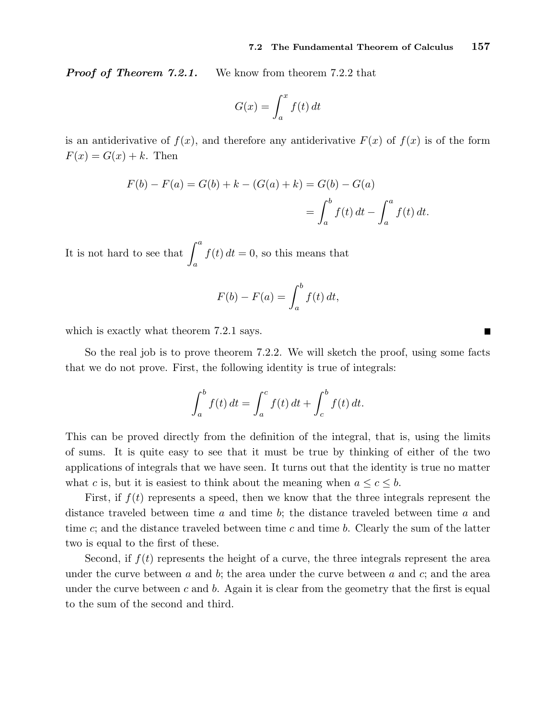**Proof of Theorem 7.2.1.** We know from theorem 7.2.2 that

$$
G(x) = \int_{a}^{x} f(t) dt
$$

is an antiderivative of  $f(x)$ , and therefore any antiderivative  $F(x)$  of  $f(x)$  is of the form  $F(x) = G(x) + k$ . Then

$$
F(b) - F(a) = G(b) + k - (G(a) + k) = G(b) - G(a)
$$
  
= 
$$
\int_{a}^{b} f(t) dt - \int_{a}^{a} f(t) dt.
$$

It is not hard to see that  $\int^a$ a  $f(t) dt = 0$ , so this means that

$$
F(b) - F(a) = \int_a^b f(t) dt,
$$

which is exactly what theorem 7.2.1 says.

So the real job is to prove theorem 7.2.2. We will sketch the proof, using some facts that we do not prove. First, the following identity is true of integrals:

$$
\int_{a}^{b} f(t) dt = \int_{a}^{c} f(t) dt + \int_{c}^{b} f(t) dt.
$$

This can be proved directly from the definition of the integral, that is, using the limits of sums. It is quite easy to see that it must be true by thinking of either of the two applications of integrals that we have seen. It turns out that the identity is true no matter what c is, but it is easiest to think about the meaning when  $a \leq c \leq b$ .

First, if  $f(t)$  represents a speed, then we know that the three integrals represent the distance traveled between time a and time b; the distance traveled between time a and time c; and the distance traveled between time c and time b. Clearly the sum of the latter two is equal to the first of these.

Second, if  $f(t)$  represents the height of a curve, the three integrals represent the area under the curve between  $a$  and  $b$ ; the area under the curve between  $a$  and  $c$ ; and the area under the curve between  $c$  and  $b$ . Again it is clear from the geometry that the first is equal to the sum of the second and third.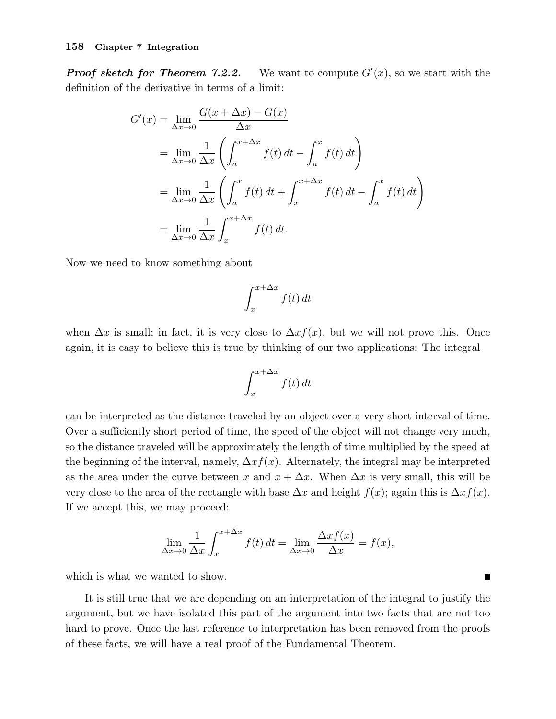Proof sketch for Theorem 7.2.2. We want to compute  $G'(x)$ , so we start with the definition of the derivative in terms of a limit:

$$
G'(x) = \lim_{\Delta x \to 0} \frac{G(x + \Delta x) - G(x)}{\Delta x}
$$
  
= 
$$
\lim_{\Delta x \to 0} \frac{1}{\Delta x} \left( \int_{a}^{x + \Delta x} f(t) dt - \int_{a}^{x} f(t) dt \right)
$$
  
= 
$$
\lim_{\Delta x \to 0} \frac{1}{\Delta x} \left( \int_{a}^{x} f(t) dt + \int_{x}^{x + \Delta x} f(t) dt - \int_{a}^{x} f(t) dt \right)
$$
  
= 
$$
\lim_{\Delta x \to 0} \frac{1}{\Delta x} \int_{x}^{x + \Delta x} f(t) dt.
$$

Now we need to know something about

$$
\int_{x}^{x+\Delta x} f(t) dt
$$

when  $\Delta x$  is small; in fact, it is very close to  $\Delta x f(x)$ , but we will not prove this. Once again, it is easy to believe this is true by thinking of our two applications: The integral

$$
\int_{x}^{x + \Delta x} f(t) dt
$$

can be interpreted as the distance traveled by an object over a very short interval of time. Over a sufficiently short period of time, the speed of the object will not change very much, so the distance traveled will be approximately the length of time multiplied by the speed at the beginning of the interval, namely,  $\Delta x f(x)$ . Alternately, the integral may be interpreted as the area under the curve between x and  $x + \Delta x$ . When  $\Delta x$  is very small, this will be very close to the area of the rectangle with base  $\Delta x$  and height  $f(x)$ ; again this is  $\Delta x f(x)$ . If we accept this, we may proceed:

$$
\lim_{\Delta x \to 0} \frac{1}{\Delta x} \int_{x}^{x + \Delta x} f(t) dt = \lim_{\Delta x \to 0} \frac{\Delta x f(x)}{\Delta x} = f(x),
$$

П

which is what we wanted to show.

It is still true that we are depending on an interpretation of the integral to justify the argument, but we have isolated this part of the argument into two facts that are not too hard to prove. Once the last reference to interpretation has been removed from the proofs of these facts, we will have a real proof of the Fundamental Theorem.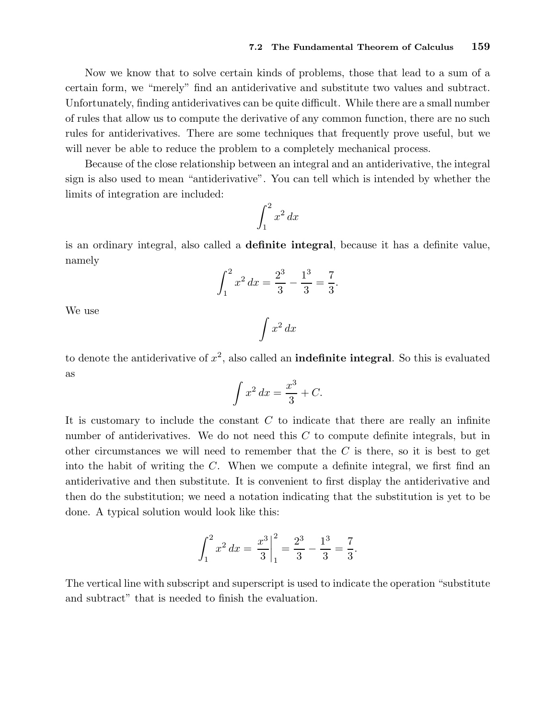Now we know that to solve certain kinds of problems, those that lead to a sum of a certain form, we "merely" find an antiderivative and substitute two values and subtract. Unfortunately, finding antiderivatives can be quite difficult. While there are a small number of rules that allow us to compute the derivative of any common function, there are no such rules for antiderivatives. There are some techniques that frequently prove useful, but we will never be able to reduce the problem to a completely mechanical process.

Because of the close relationship between an integral and an antiderivative, the integral sign is also used to mean "antiderivative". You can tell which is intended by whether the limits of integration are included:

$$
\int_1^2 x^2 \, dx
$$

is an ordinary integral, also called a definite integral, because it has a definite value, namely

$$
\int_{1}^{2} x^{2} dx = \frac{2^{3}}{3} - \frac{1^{3}}{3} = \frac{7}{3}.
$$

We use

$$
\int x^2 \, dx
$$

to denote the antiderivative of  $x^2$ , also called an **indefinite integral**. So this is evaluated as

$$
\int x^2 dx = \frac{x^3}{3} + C.
$$

It is customary to include the constant  $C$  to indicate that there are really an infinite number of antiderivatives. We do not need this  $C$  to compute definite integrals, but in other circumstances we will need to remember that the  $C$  is there, so it is best to get into the habit of writing the C. When we compute a definite integral, we first find an antiderivative and then substitute. It is convenient to first display the antiderivative and then do the substitution; we need a notation indicating that the substitution is yet to be done. A typical solution would look like this:

$$
\int_1^2 x^2 dx = \left. \frac{x^3}{3} \right|_1^2 = \frac{2^3}{3} - \frac{1^3}{3} = \frac{7}{3}.
$$

The vertical line with subscript and superscript is used to indicate the operation "substitute and subtract" that is needed to finish the evaluation.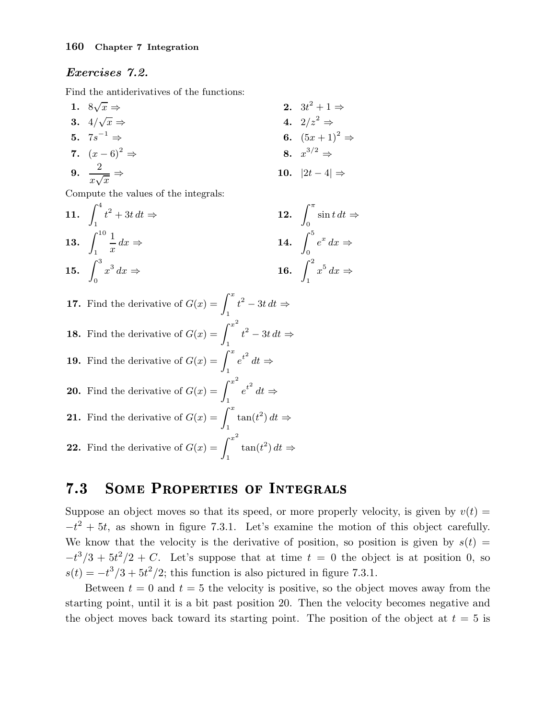# Exercises 7.2.

Find the antiderivatives of the functions:

1. 
$$
8\sqrt{x} \Rightarrow
$$
  
\n2.  $3t^2 + 1 \Rightarrow$   
\n3.  $4/\sqrt{x} \Rightarrow$   
\n4.  $2/z^2 \Rightarrow$   
\n5.  $7s^{-1} \Rightarrow$   
\n6.  $(5x+1)^2 \Rightarrow$   
\n7.  $(x-6)^2 \Rightarrow$   
\n8.  $x^{3/2} \Rightarrow$   
\n9.  $\frac{2}{x\sqrt{x}} \Rightarrow$   
\n10.  $|2t-4| \Rightarrow$ 

Compute the values of the integrals:

11. 
$$
\int_{1}^{4} t^{2} + 3t dt \Rightarrow
$$
  
\n12. 
$$
\int_{0}^{\pi} \sin t dt \Rightarrow
$$
  
\n13. 
$$
\int_{1}^{10} \frac{1}{x} dx \Rightarrow
$$
  
\n14. 
$$
\int_{0}^{5} e^{x} dx \Rightarrow
$$
  
\n15. 
$$
\int_{0}^{3} x^{3} dx \Rightarrow
$$
  
\n16. 
$$
\int_{1}^{2} x^{5} dx \Rightarrow
$$

\n- **17.** Find the derivative of 
$$
G(x) = \int_1^x t^2 - 3t \, dt \Rightarrow
$$
\n- **18.** Find the derivative of  $G(x) = \int_1^{x^2} t^2 - 3t \, dt \Rightarrow$
\n

**19.** Find the derivative of 
$$
G(x) = \int_{1}^{x} e^{t^2} dt \Rightarrow
$$

**20.** Find the derivative of 
$$
G(x) = \int_1^{x^2} e^{t^2} dt \Rightarrow
$$
  
**21.** Find the derivative of  $G(x) = \int_1^x \tan(t^2) dt$ 

**22.** Find the derivative of 
$$
G(x) = \int_1^{x^2} \tan(t^2) dt \Rightarrow
$$

#### SOME PROPERTIES OF INTEGRALS  $7.3$

Suppose an object moves so that its speed, or more properly velocity, is given by  $v(t)$  =  $-t^2 + 5t$ , as shown in figure 7.3.1. Let's examine the motion of this object carefully. We know that the velocity is the derivative of position, so position is given by  $s(t)$  =  $-t^3/3 + 5t^2/2 + C$ . Let's suppose that at time  $t = 0$  the object is at position 0, so  $s(t) = -t^3/3 + 5t^2/2$ ; this function is also pictured in figure 7.3.1.

 $\Rightarrow$ 

Between  $t = 0$  and  $t = 5$  the velocity is positive, so the object moves away from the starting point, until it is a bit past position 20. Then the velocity becomes negative and the object moves back toward its starting point. The position of the object at  $t = 5$  is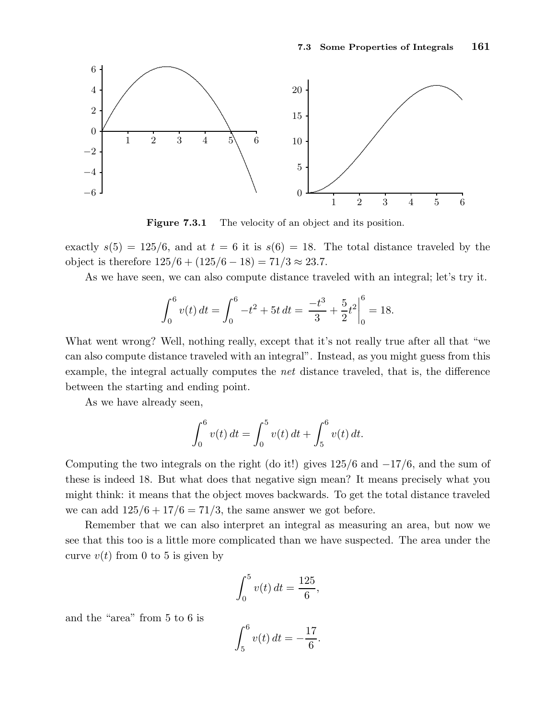

Figure 7.3.1 The velocity of an object and its position.

exactly  $s(5) = 125/6$ , and at  $t = 6$  it is  $s(6) = 18$ . The total distance traveled by the object is therefore  $125/6 + (125/6 - 18) = 71/3 \approx 23.7$ .

As we have seen, we can also compute distance traveled with an integral; let's try it.

$$
\int_0^6 v(t) dt = \int_0^6 -t^2 + 5t dt = \left. \frac{-t^3}{3} + \frac{5}{2} t^2 \right|_0^6 = 18.
$$

What went wrong? Well, nothing really, except that it's not really true after all that "we can also compute distance traveled with an integral". Instead, as you might guess from this example, the integral actually computes the net distance traveled, that is, the difference between the starting and ending point.

As we have already seen,

$$
\int_0^6 v(t) dt = \int_0^5 v(t) dt + \int_5^6 v(t) dt.
$$

Computing the two integrals on the right (do it!) gives  $125/6$  and  $-17/6$ , and the sum of these is indeed 18. But what does that negative sign mean? It means precisely what you might think: it means that the object moves backwards. To get the total distance traveled we can add  $125/6 + 17/6 = 71/3$ , the same answer we got before.

Remember that we can also interpret an integral as measuring an area, but now we see that this too is a little more complicated than we have suspected. The area under the curve  $v(t)$  from 0 to 5 is given by

$$
\int_0^5 v(t) \, dt = \frac{125}{6},
$$

and the "area" from 5 to 6 is

$$
\int_5^6 v(t) \, dt = -\frac{17}{6}.
$$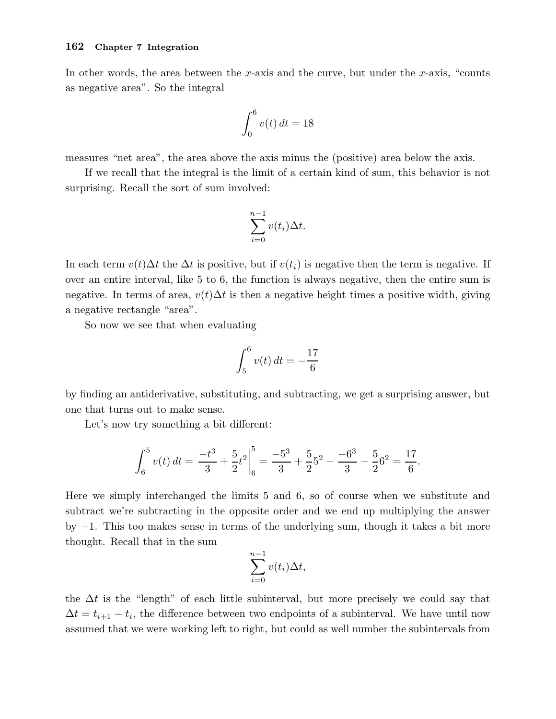In other words, the area between the x-axis and the curve, but under the x-axis, "counts as negative area". So the integral

$$
\int_0^6 v(t) \, dt = 18
$$

measures "net area", the area above the axis minus the (positive) area below the axis.

If we recall that the integral is the limit of a certain kind of sum, this behavior is not surprising. Recall the sort of sum involved:

$$
\sum_{i=0}^{n-1} v(t_i) \Delta t.
$$

In each term  $v(t)\Delta t$  the  $\Delta t$  is positive, but if  $v(t_i)$  is negative then the term is negative. If over an entire interval, like 5 to 6, the function is always negative, then the entire sum is negative. In terms of area,  $v(t)\Delta t$  is then a negative height times a positive width, giving a negative rectangle "area".

So now we see that when evaluating

$$
\int_5^6 v(t) \, dt = -\frac{17}{6}
$$

by finding an antiderivative, substituting, and subtracting, we get a surprising answer, but one that turns out to make sense.

Let's now try something a bit different:

$$
\int_6^5 v(t) dt = \left. \frac{-t^3}{3} + \frac{5}{2} t^2 \right|_6^5 = \frac{-5^3}{3} + \frac{5}{2} 5^2 - \frac{-6^3}{3} - \frac{5}{2} 6^2 = \frac{17}{6}.
$$

Here we simply interchanged the limits 5 and 6, so of course when we substitute and subtract we're subtracting in the opposite order and we end up multiplying the answer by −1. This too makes sense in terms of the underlying sum, though it takes a bit more thought. Recall that in the sum

$$
\sum_{i=0}^{n-1} v(t_i) \Delta t,
$$

the  $\Delta t$  is the "length" of each little subinterval, but more precisely we could say that  $\Delta t = t_{i+1} - t_i$ , the difference between two endpoints of a subinterval. We have until now assumed that we were working left to right, but could as well number the subintervals from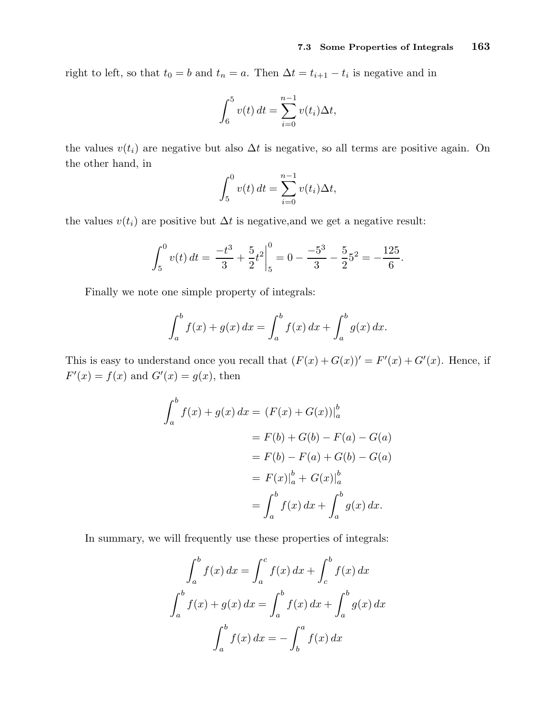right to left, so that  $t_0 = b$  and  $t_n = a$ . Then  $\Delta t = t_{i+1} - t_i$  is negative and in

$$
\int_6^5 v(t) dt = \sum_{i=0}^{n-1} v(t_i) \Delta t,
$$

the values  $v(t_i)$  are negative but also  $\Delta t$  is negative, so all terms are positive again. On the other hand, in

$$
\int_5^0 v(t) dt = \sum_{i=0}^{n-1} v(t_i) \Delta t,
$$

the values  $v(t_i)$  are positive but  $\Delta t$  is negative, and we get a negative result:

$$
\int_5^0 v(t) dt = \left. \frac{-t^3}{3} + \frac{5}{2} t^2 \right|_5^0 = 0 - \frac{-5^3}{3} - \frac{5}{2} 5^2 = -\frac{125}{6}.
$$

Finally we note one simple property of integrals:

$$
\int_{a}^{b} f(x) + g(x) \, dx = \int_{a}^{b} f(x) \, dx + \int_{a}^{b} g(x) \, dx.
$$

This is easy to understand once you recall that  $(F(x) + G(x))' = F'(x) + G'(x)$ . Hence, if  $F'(x) = f(x)$  and  $G'(x) = g(x)$ , then

$$
\int_{a}^{b} f(x) + g(x) dx = (F(x) + G(x))|_{a}^{b}
$$
  
= F(b) + G(b) - F(a) - G(a)  
= F(b) - F(a) + G(b) - G(a)  
= F(x)|\_{a}^{b} + G(x)|\_{a}^{b}  
= \int\_{a}^{b} f(x) dx + \int\_{a}^{b} g(x) dx.

In summary, we will frequently use these properties of integrals:

$$
\int_a^b f(x) dx = \int_a^c f(x) dx + \int_c^b f(x) dx
$$

$$
\int_a^b f(x) + g(x) dx = \int_a^b f(x) dx + \int_a^b g(x) dx
$$

$$
\int_a^b f(x) dx = -\int_b^a f(x) dx
$$